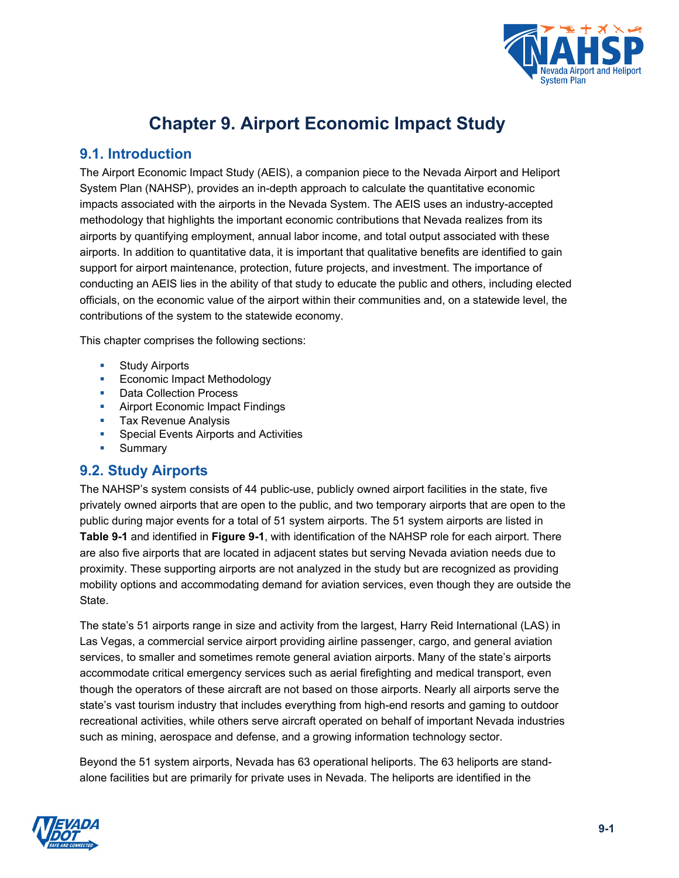

# **Chapter 9. Airport Economic Impact Study**

# **9.1. Introduction**

The Airport Economic Impact Study (AEIS), a companion piece to the Nevada Airport and Heliport System Plan (NAHSP), provides an in-depth approach to calculate the quantitative economic impacts associated with the airports in the Nevada System. The AEIS uses an industry-accepted methodology that highlights the important economic contributions that Nevada realizes from its airports by quantifying employment, annual labor income, and total output associated with these airports. In addition to quantitative data, it is important that qualitative benefits are identified to gain support for airport maintenance, protection, future projects, and investment. The importance of conducting an AEIS lies in the ability of that study to educate the public and others, including elected officials, on the economic value of the airport within their communities and, on a statewide level, the contributions of the system to the statewide economy.

This chapter comprises the following sections:

- **Study Airports**
- **Economic Impact Methodology**
- Data Collection Process
- Airport Economic Impact Findings
- **Tax Revenue Analysis**
- **Special Events Airports and Activities**
- Summary

### **9.2. Study Airports**

The NAHSP's system consists of 44 public-use, publicly owned airport facilities in the state, five privately owned airports that are open to the public, and two temporary airports that are open to the public during major events for a total of 51 system airports. The 51 system airports are listed in **[Table 9-1](#page-1-0)** and identified in **[Figure 9-1](#page-3-0)**, with identification of the NAHSP role for each airport. There are also five airports that are located in adjacent states but serving Nevada aviation needs due to proximity. These supporting airports are not analyzed in the study but are recognized as providing mobility options and accommodating demand for aviation services, even though they are outside the State.

The state's 51 airports range in size and activity from the largest, Harry Reid International (LAS) in Las Vegas, a commercial service airport providing airline passenger, cargo, and general aviation services, to smaller and sometimes remote general aviation airports. Many of the state's airports accommodate critical emergency services such as aerial firefighting and medical transport, even though the operators of these aircraft are not based on those airports. Nearly all airports serve the state's vast tourism industry that includes everything from high-end resorts and gaming to outdoor recreational activities, while others serve aircraft operated on behalf of important Nevada industries such as mining, aerospace and defense, and a growing information technology sector.

Beyond the 51 system airports, Nevada has 63 operational heliports. The 63 heliports are standalone facilities but are primarily for private uses in Nevada. The heliports are identified in the

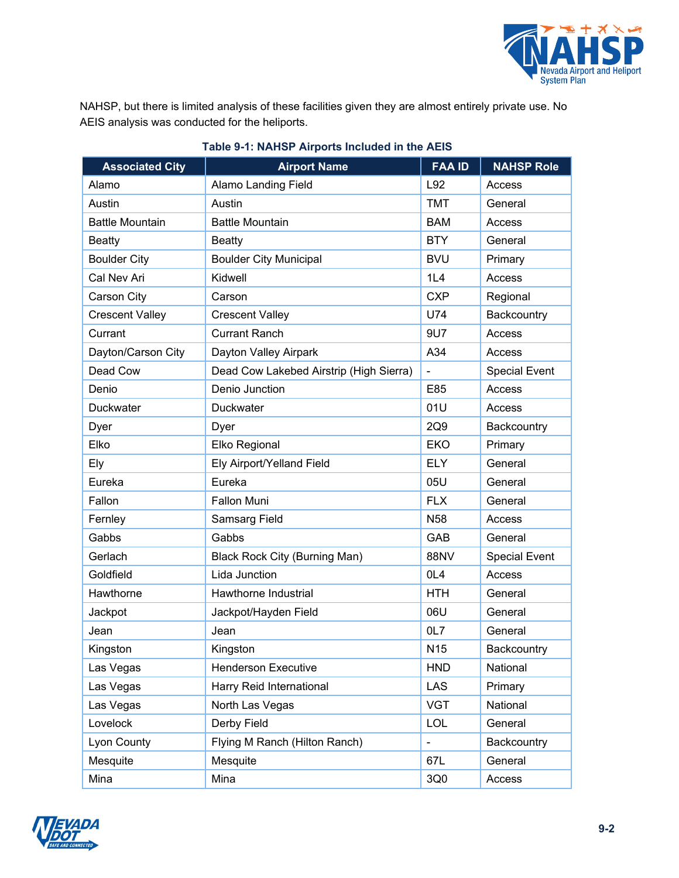

NAHSP, but there is limited analysis of these facilities given they are almost entirely private use. No AEIS analysis was conducted for the heliports.

<span id="page-1-0"></span>

| <b>Associated City</b> | <b>Airport Name</b>                     | <b>FAA ID</b>   | <b>NAHSP Role</b>    |
|------------------------|-----------------------------------------|-----------------|----------------------|
| Alamo                  | <b>Alamo Landing Field</b>              | L92             | Access               |
| Austin                 | Austin                                  | <b>TMT</b>      | General              |
| <b>Battle Mountain</b> | <b>Battle Mountain</b>                  | <b>BAM</b>      | Access               |
| <b>Beatty</b>          | <b>Beatty</b>                           | <b>BTY</b>      | General              |
| <b>Boulder City</b>    | <b>Boulder City Municipal</b>           | <b>BVU</b>      | Primary              |
| Cal Nev Ari            | Kidwell                                 | 1L4             | Access               |
| Carson City            | Carson                                  | <b>CXP</b>      | Regional             |
| <b>Crescent Valley</b> | <b>Crescent Valley</b>                  | U74             | Backcountry          |
| Currant                | <b>Currant Ranch</b>                    | 9U7             | Access               |
| Dayton/Carson City     | Dayton Valley Airpark                   | A34             | Access               |
| Dead Cow               | Dead Cow Lakebed Airstrip (High Sierra) | $\frac{1}{2}$   | <b>Special Event</b> |
| Denio                  | Denio Junction                          | E85             | Access               |
| Duckwater              | <b>Duckwater</b>                        | 01U             | Access               |
| Dyer                   | Dyer                                    | 2Q9             | Backcountry          |
| Elko                   | Elko Regional                           | <b>EKO</b>      | Primary              |
| Ely                    | Ely Airport/Yelland Field               | <b>ELY</b>      | General              |
| Eureka                 | Eureka                                  | 05U             | General              |
| Fallon                 | <b>Fallon Muni</b>                      | <b>FLX</b>      | General              |
| Fernley                | <b>Samsarg Field</b>                    | N <sub>58</sub> | Access               |
| Gabbs                  | Gabbs                                   | GAB             | General              |
| Gerlach                | <b>Black Rock City (Burning Man)</b>    | 88NV            | <b>Special Event</b> |
| Goldfield              | Lida Junction                           | OL <sub>4</sub> | Access               |
| Hawthorne              | Hawthorne Industrial                    | <b>HTH</b>      | General              |
| Jackpot                | Jackpot/Hayden Field                    | 06U             | General              |
| Jean                   | Jean                                    | 0L7             | General              |
| Kingston               | Kingston                                | N <sub>15</sub> | Backcountry          |
| Las Vegas              | <b>Henderson Executive</b>              | <b>HND</b>      | National             |
| Las Vegas              | Harry Reid International                | <b>LAS</b>      | Primary              |
| Las Vegas              | North Las Vegas                         | <b>VGT</b>      | National             |
| Lovelock               | Derby Field                             | <b>LOL</b>      | General              |
| Lyon County            | Flying M Ranch (Hilton Ranch)           | $\blacksquare$  | Backcountry          |
| Mesquite               | Mesquite                                | 67L             | General              |
| Mina                   | Mina                                    | 3Q0             | Access               |

#### **Table 9-1: NAHSP Airports Included in the AEIS**

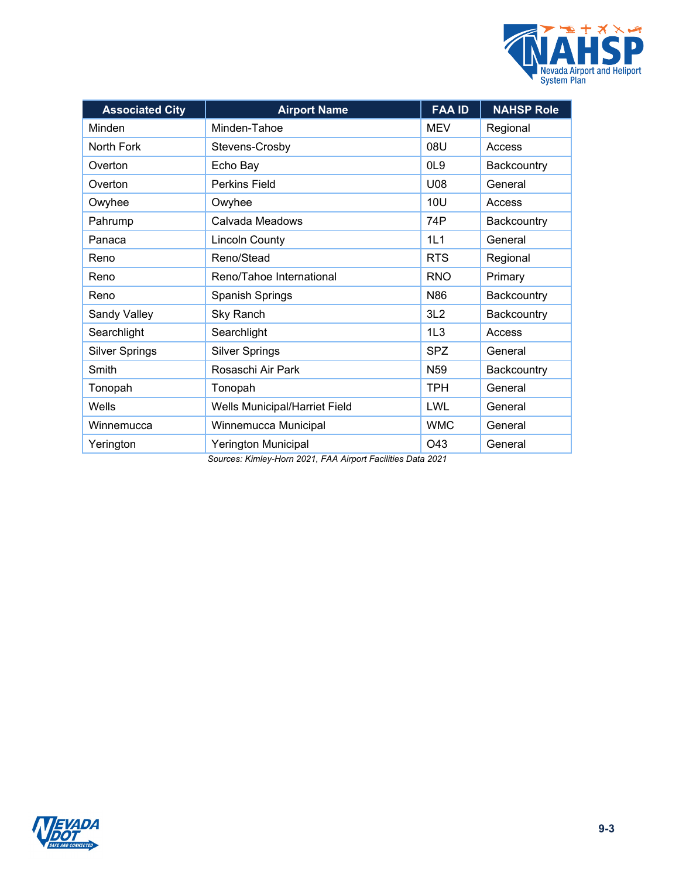

| <b>Associated City</b> | <b>Airport Name</b>                                                        | <b>FAA ID</b>   | <b>NAHSP Role</b> |
|------------------------|----------------------------------------------------------------------------|-----------------|-------------------|
| Minden                 | Minden-Tahoe                                                               | <b>MEV</b>      | Regional          |
| North Fork             | Stevens-Crosby                                                             | 08U             | Access            |
| Overton                | Echo Bay                                                                   | OL <sub>9</sub> | Backcountry       |
| Overton                | <b>Perkins Field</b>                                                       | U08             | General           |
| Owyhee                 | Owyhee                                                                     | <b>10U</b>      | Access            |
| Pahrump                | Calvada Meadows                                                            | 74P             | Backcountry       |
| Panaca                 | <b>Lincoln County</b>                                                      | 1L1             | General           |
| Reno                   | Reno/Stead                                                                 | <b>RTS</b>      | Regional          |
| Reno                   | Reno/Tahoe International                                                   | <b>RNO</b>      | Primary           |
| Reno                   | <b>Spanish Springs</b>                                                     | N86             | Backcountry       |
| Sandy Valley           | Sky Ranch                                                                  | 3L2             | Backcountry       |
| Searchlight            | Searchlight                                                                | 1L3             | Access            |
| <b>Silver Springs</b>  | <b>Silver Springs</b>                                                      | <b>SPZ</b>      | General           |
| Smith                  | Rosaschi Air Park                                                          | N <sub>59</sub> | Backcountry       |
| Tonopah                | Tonopah                                                                    | <b>TPH</b>      | General           |
| Wells                  | Wells Municipal/Harriet Field                                              | LWL             | General           |
| Winnemucca             | Winnemucca Municipal                                                       | <b>WMC</b>      | General           |
| Yerington              | Yerington Municipal<br>Bermany Kimber Ham 8884, EAA, Aimed Feellities Bets | O43<br>0.004    | General           |

*Sources: Kimley-Horn 2021, FAA Airport Facilities Data 2021*

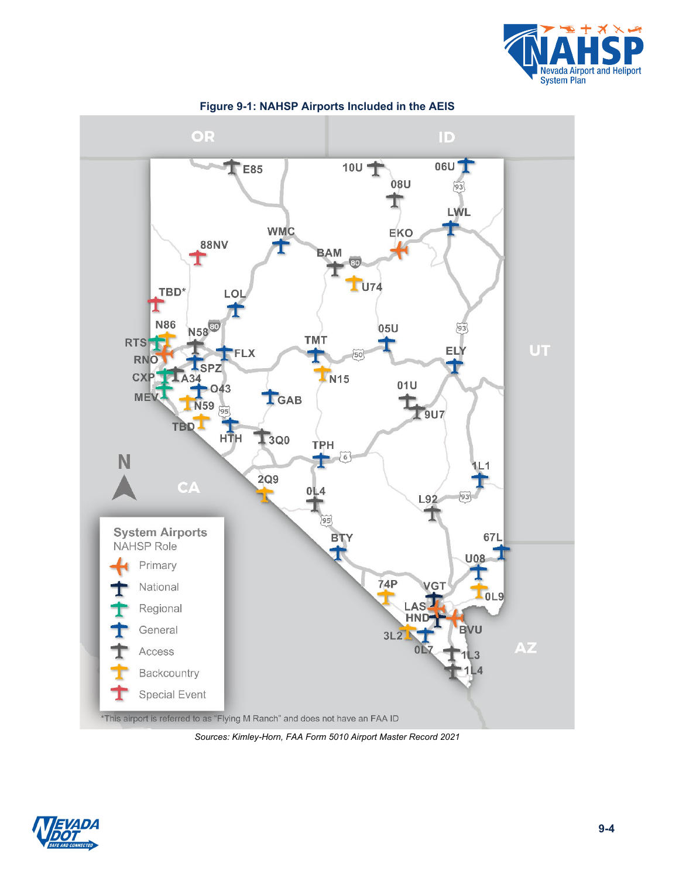

<span id="page-3-0"></span>

**Figure 9-1: NAHSP Airports Included in the AEIS**

*Sources: Kimley-Horn, FAA Form 5010 Airport Master Record 2021*

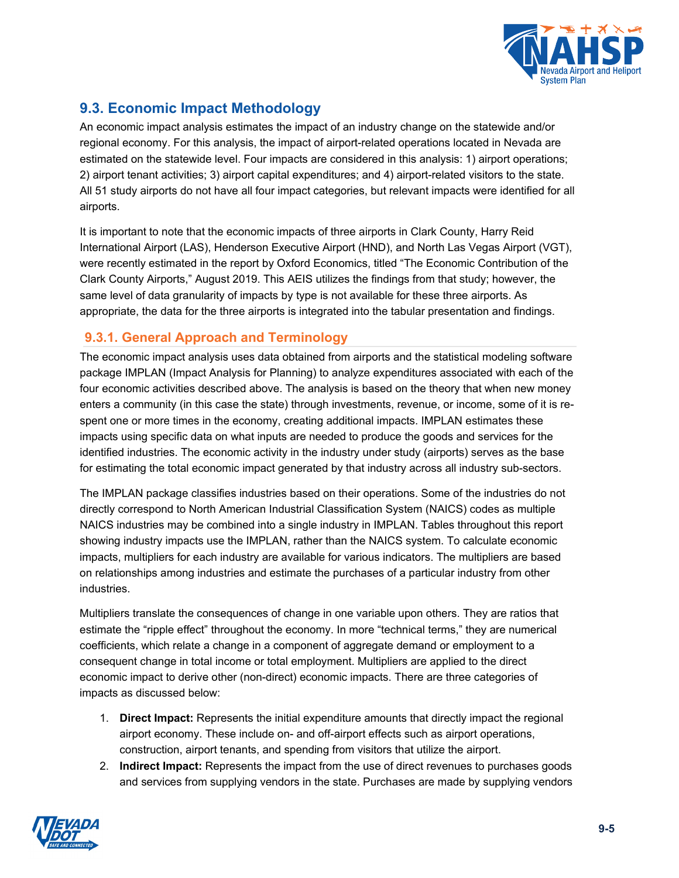

# **9.3. Economic Impact Methodology**

An economic impact analysis estimates the impact of an industry change on the statewide and/or regional economy. For this analysis, the impact of airport-related operations located in Nevada are estimated on the statewide level. Four impacts are considered in this analysis: 1) airport operations; 2) airport tenant activities; 3) airport capital expenditures; and 4) airport-related visitors to the state. All 51 study airports do not have all four impact categories, but relevant impacts were identified for all airports.

It is important to note that the economic impacts of three airports in Clark County, Harry Reid International Airport (LAS), Henderson Executive Airport (HND), and North Las Vegas Airport (VGT), were recently estimated in the report by Oxford Economics, titled "The Economic Contribution of the Clark County Airports," August 2019. This AEIS utilizes the findings from that study; however, the same level of data granularity of impacts by type is not available for these three airports. As appropriate, the data for the three airports is integrated into the tabular presentation and findings.

## **9.3.1. General Approach and Terminology**

The economic impact analysis uses data obtained from airports and the statistical modeling software package IMPLAN (Impact Analysis for Planning) to analyze expenditures associated with each of the four economic activities described above. The analysis is based on the theory that when new money enters a community (in this case the state) through investments, revenue, or income, some of it is respent one or more times in the economy, creating additional impacts. IMPLAN estimates these impacts using specific data on what inputs are needed to produce the goods and services for the identified industries. The economic activity in the industry under study (airports) serves as the base for estimating the total economic impact generated by that industry across all industry sub-sectors.

The IMPLAN package classifies industries based on their operations. Some of the industries do not directly correspond to North American Industrial Classification System (NAICS) codes as multiple NAICS industries may be combined into a single industry in IMPLAN. Tables throughout this report showing industry impacts use the IMPLAN, rather than the NAICS system. To calculate economic impacts, multipliers for each industry are available for various indicators. The multipliers are based on relationships among industries and estimate the purchases of a particular industry from other industries.

Multipliers translate the consequences of change in one variable upon others. They are ratios that estimate the "ripple effect" throughout the economy. In more "technical terms," they are numerical coefficients, which relate a change in a component of aggregate demand or employment to a consequent change in total income or total employment. Multipliers are applied to the direct economic impact to derive other (non-direct) economic impacts. There are three categories of impacts as discussed below:

- 1. **Direct Impact:** Represents the initial expenditure amounts that directly impact the regional airport economy. These include on- and off-airport effects such as airport operations, construction, airport tenants, and spending from visitors that utilize the airport.
- 2. **Indirect Impact:** Represents the impact from the use of direct revenues to purchases goods and services from supplying vendors in the state. Purchases are made by supplying vendors

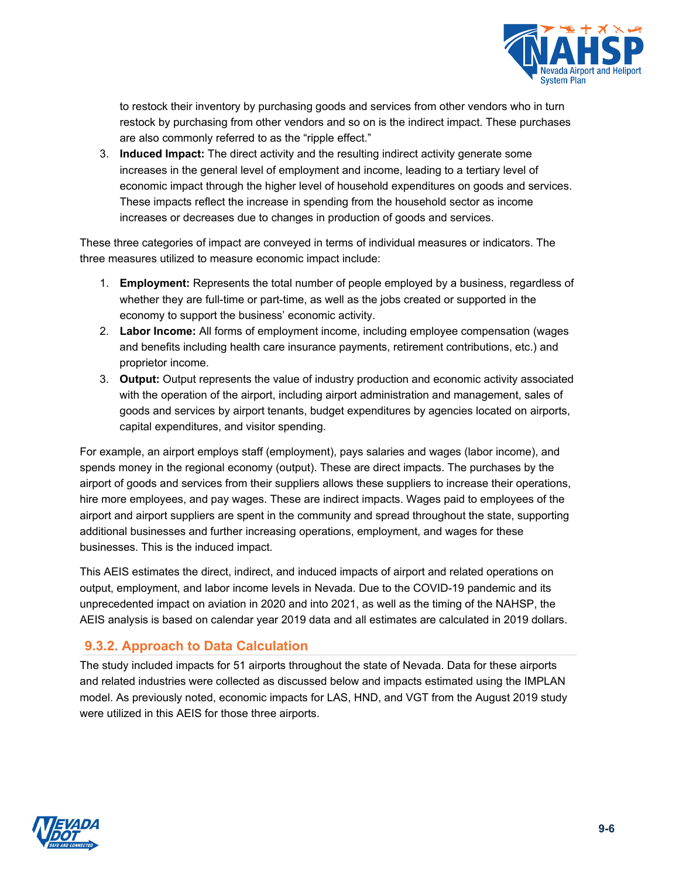

to restock their inventory by purchasing goods and services from other vendors who in turn restock by purchasing from other vendors and so on is the indirect impact. These purchases are also commonly referred to as the "ripple effect."

3. **Induced Impact:** The direct activity and the resulting indirect activity generate some increases in the general level of employment and income, leading to a tertiary level of economic impact through the higher level of household expenditures on goods and services. These impacts reflect the increase in spending from the household sector as income increases or decreases due to changes in production of goods and services.

These three categories of impact are conveyed in terms of individual measures or indicators. The three measures utilized to measure economic impact include:

- 1. **Employment:** Represents the total number of people employed by a business, regardless of whether they are full-time or part-time, as well as the jobs created or supported in the economy to support the business' economic activity.
- 2. **Labor Income:** All forms of employment income, including employee compensation (wages and benefits including health care insurance payments, retirement contributions, etc.) and proprietor income.
- 3. **Output:** Output represents the value of industry production and economic activity associated with the operation of the airport, including airport administration and management, sales of goods and services by airport tenants, budget expenditures by agencies located on airports, capital expenditures, and visitor spending.

For example, an airport employs staff (employment), pays salaries and wages (labor income), and spends money in the regional economy (output). These are direct impacts. The purchases by the airport of goods and services from their suppliers allows these suppliers to increase their operations, hire more employees, and pay wages. These are indirect impacts. Wages paid to employees of the airport and airport suppliers are spent in the community and spread throughout the state, supporting additional businesses and further increasing operations, employment, and wages for these businesses. This is the induced impact.

This AEIS estimates the direct, indirect, and induced impacts of airport and related operations on output, employment, and labor income levels in Nevada. Due to the COVID-19 pandemic and its unprecedented impact on aviation in 2020 and into 2021, as well as the timing of the NAHSP, the AEIS analysis is based on calendar year 2019 data and all estimates are calculated in 2019 dollars.

# **9.3.2. Approach to Data Calculation**

The study included impacts for 51 airports throughout the state of Nevada. Data for these airports and related industries were collected as discussed below and impacts estimated using the IMPLAN model. As previously noted, economic impacts for LAS, HND, and VGT from the August 2019 study were utilized in this AEIS for those three airports.

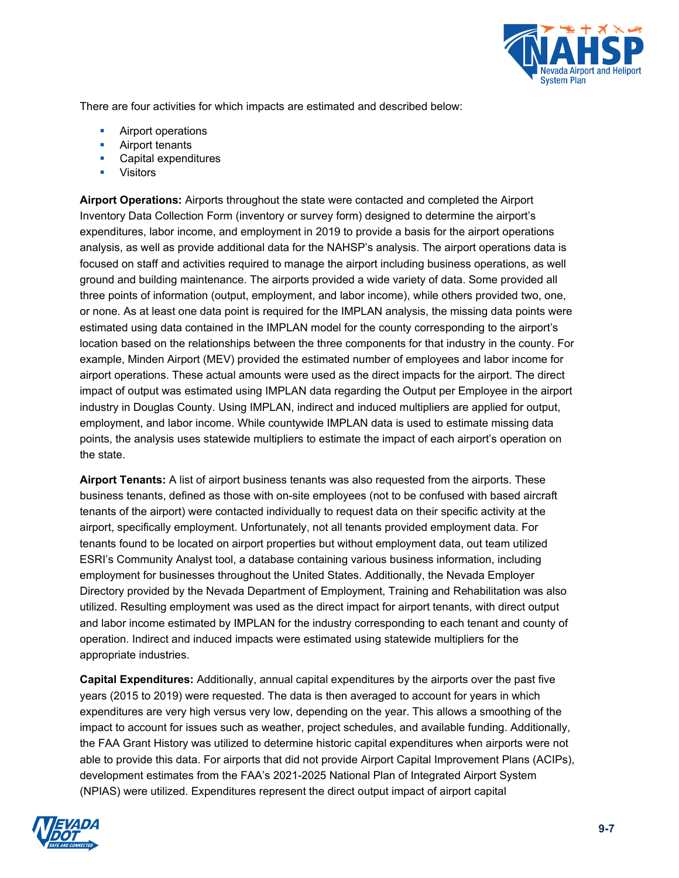

There are four activities for which impacts are estimated and described below:

- **Airport operations**
- **Airport tenants**
- **Capital expenditures**
- Visitors

**Airport Operations:** Airports throughout the state were contacted and completed the Airport Inventory Data Collection Form (inventory or survey form) designed to determine the airport's expenditures, labor income, and employment in 2019 to provide a basis for the airport operations analysis, as well as provide additional data for the NAHSP's analysis. The airport operations data is focused on staff and activities required to manage the airport including business operations, as well ground and building maintenance. The airports provided a wide variety of data. Some provided all three points of information (output, employment, and labor income), while others provided two, one, or none. As at least one data point is required for the IMPLAN analysis, the missing data points were estimated using data contained in the IMPLAN model for the county corresponding to the airport's location based on the relationships between the three components for that industry in the county. For example, Minden Airport (MEV) provided the estimated number of employees and labor income for airport operations. These actual amounts were used as the direct impacts for the airport. The direct impact of output was estimated using IMPLAN data regarding the Output per Employee in the airport industry in Douglas County. Using IMPLAN, indirect and induced multipliers are applied for output, employment, and labor income. While countywide IMPLAN data is used to estimate missing data points, the analysis uses statewide multipliers to estimate the impact of each airport's operation on the state.

**Airport Tenants:** A list of airport business tenants was also requested from the airports. These business tenants, defined as those with on-site employees (not to be confused with based aircraft tenants of the airport) were contacted individually to request data on their specific activity at the airport, specifically employment. Unfortunately, not all tenants provided employment data. For tenants found to be located on airport properties but without employment data, out team utilized ESRI's Community Analyst tool, a database containing various business information, including employment for businesses throughout the United States. Additionally, the Nevada Employer Directory provided by the Nevada Department of Employment, Training and Rehabilitation was also utilized. Resulting employment was used as the direct impact for airport tenants, with direct output and labor income estimated by IMPLAN for the industry corresponding to each tenant and county of operation. Indirect and induced impacts were estimated using statewide multipliers for the appropriate industries.

**Capital Expenditures:** Additionally, annual capital expenditures by the airports over the past five years (2015 to 2019) were requested. The data is then averaged to account for years in which expenditures are very high versus very low, depending on the year. This allows a smoothing of the impact to account for issues such as weather, project schedules, and available funding. Additionally, the FAA Grant History was utilized to determine historic capital expenditures when airports were not able to provide this data. For airports that did not provide Airport Capital Improvement Plans (ACIPs), development estimates from the FAA's 2021-2025 National Plan of Integrated Airport System (NPIAS) were utilized. Expenditures represent the direct output impact of airport capital

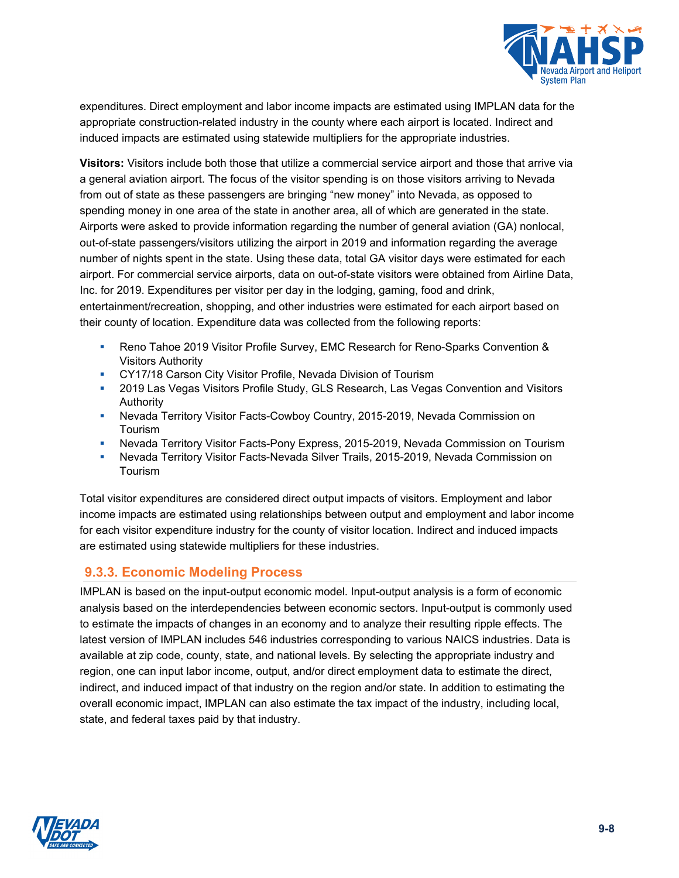

expenditures. Direct employment and labor income impacts are estimated using IMPLAN data for the appropriate construction-related industry in the county where each airport is located. Indirect and induced impacts are estimated using statewide multipliers for the appropriate industries.

**Visitors:** Visitors include both those that utilize a commercial service airport and those that arrive via a general aviation airport. The focus of the visitor spending is on those visitors arriving to Nevada from out of state as these passengers are bringing "new money" into Nevada, as opposed to spending money in one area of the state in another area, all of which are generated in the state. Airports were asked to provide information regarding the number of general aviation (GA) nonlocal, out-of-state passengers/visitors utilizing the airport in 2019 and information regarding the average number of nights spent in the state. Using these data, total GA visitor days were estimated for each airport. For commercial service airports, data on out-of-state visitors were obtained from Airline Data, Inc. for 2019. Expenditures per visitor per day in the lodging, gaming, food and drink, entertainment/recreation, shopping, and other industries were estimated for each airport based on their county of location. Expenditure data was collected from the following reports:

- Reno Tahoe 2019 Visitor Profile Survey, EMC Research for Reno-Sparks Convention & Visitors Authority
- **CY17/18 Carson City Visitor Profile, Nevada Division of Tourism**
- 2019 Las Vegas Visitors Profile Study, GLS Research, Las Vegas Convention and Visitors Authority
- Nevada Territory Visitor Facts-Cowboy Country, 2015-2019, Nevada Commission on Tourism
- Nevada Territory Visitor Facts-Pony Express, 2015-2019, Nevada Commission on Tourism
- Nevada Territory Visitor Facts-Nevada Silver Trails, 2015-2019, Nevada Commission on Tourism

Total visitor expenditures are considered direct output impacts of visitors. Employment and labor income impacts are estimated using relationships between output and employment and labor income for each visitor expenditure industry for the county of visitor location. Indirect and induced impacts are estimated using statewide multipliers for these industries.

### **9.3.3. Economic Modeling Process**

IMPLAN is based on the input-output economic model. Input-output analysis is a form of economic analysis based on the interdependencies between economic sectors. Input-output is commonly used to estimate the impacts of changes in an economy and to analyze their resulting ripple effects. The latest version of IMPLAN includes 546 industries corresponding to various NAICS industries. Data is available at zip code, county, state, and national levels. By selecting the appropriate industry and region, one can input labor income, output, and/or direct employment data to estimate the direct, indirect, and induced impact of that industry on the region and/or state. In addition to estimating the overall economic impact, IMPLAN can also estimate the tax impact of the industry, including local, state, and federal taxes paid by that industry.

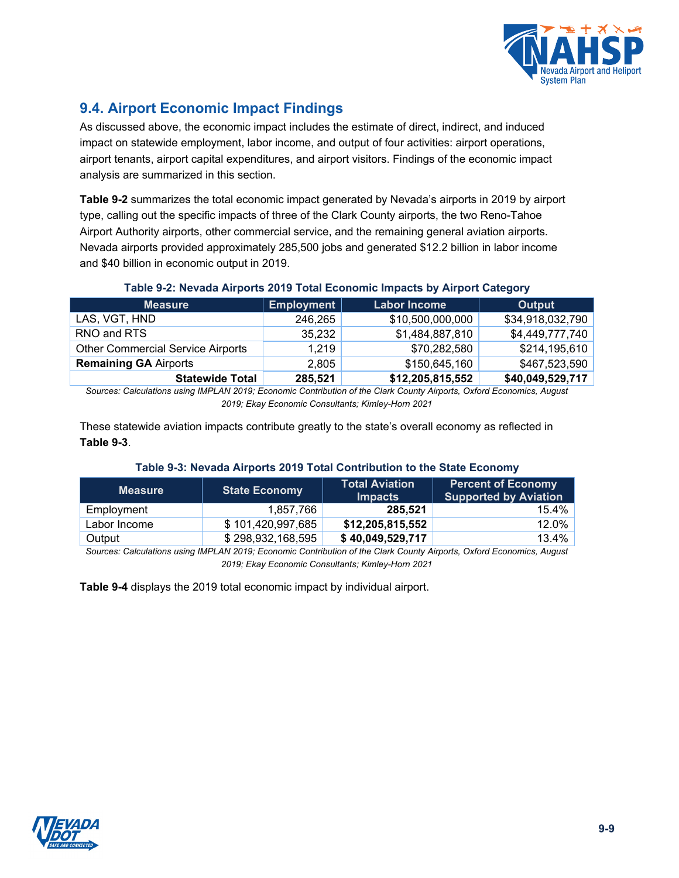

# **9.4. Airport Economic Impact Findings**

As discussed above, the economic impact includes the estimate of direct, indirect, and induced impact on statewide employment, labor income, and output of four activities: airport operations, airport tenants, airport capital expenditures, and airport visitors. Findings of the economic impact analysis are summarized in this section.

**[Table 9-2](#page-8-0)** summarizes the total economic impact generated by Nevada's airports in 2019 by airport type, calling out the specific impacts of three of the Clark County airports, the two Reno-Tahoe Airport Authority airports, other commercial service, and the remaining general aviation airports. Nevada airports provided approximately 285,500 jobs and generated \$12.2 billion in labor income and \$40 billion in economic output in 2019.

#### **Table 9-2: Nevada Airports 2019 Total Economic Impacts by Airport Category**

<span id="page-8-0"></span>

| <b>Measure</b>                           | Employment | <b>Labor Income</b> | Output           |
|------------------------------------------|------------|---------------------|------------------|
| LAS, VGT, HND                            | 246,265    | \$10,500,000,000    | \$34,918,032,790 |
| RNO and RTS                              | 35,232     | \$1,484,887,810     | \$4,449,777,740  |
| <b>Other Commercial Service Airports</b> | 1,219      | \$70,282,580        | \$214,195,610    |
| <b>Remaining GA Airports</b>             | 2,805      | \$150,645,160       | \$467,523,590    |
| <b>Statewide Total</b>                   | 285,521    | \$12,205,815,552    | \$40,049,529,717 |

*Sources: Calculations using IMPLAN 2019; Economic Contribution of the Clark County Airports, Oxford Economics, August 2019; Ekay Economic Consultants; Kimley-Horn 2021*

These statewide aviation impacts contribute greatly to the state's overall economy as reflected in **[Table 9-3](#page-8-1)**.

#### **Table 9-3: Nevada Airports 2019 Total Contribution to the State Economy**

<span id="page-8-1"></span>

| Measure      | <b>State Economy</b> | <b>Total Aviation</b><br><b>Impacts</b> | <b>Percent of Economy</b><br><b>Supported by Aviation</b> |
|--------------|----------------------|-----------------------------------------|-----------------------------------------------------------|
| Employment   | 1.857.766            | 285.521                                 | $15.4\%$                                                  |
| Labor Income | \$101,420,997,685    | \$12,205,815,552                        | $12.0\%$                                                  |
| Output       | \$298,932,168,595    | \$40,049,529,717                        | 13.4%                                                     |

*Sources: Calculations using IMPLAN 2019; Economic Contribution of the Clark County Airports, Oxford Economics, August 2019; Ekay Economic Consultants; Kimley-Horn 2021*

**[Table 9-4](#page-9-0)** displays the 2019 total economic impact by individual airport.

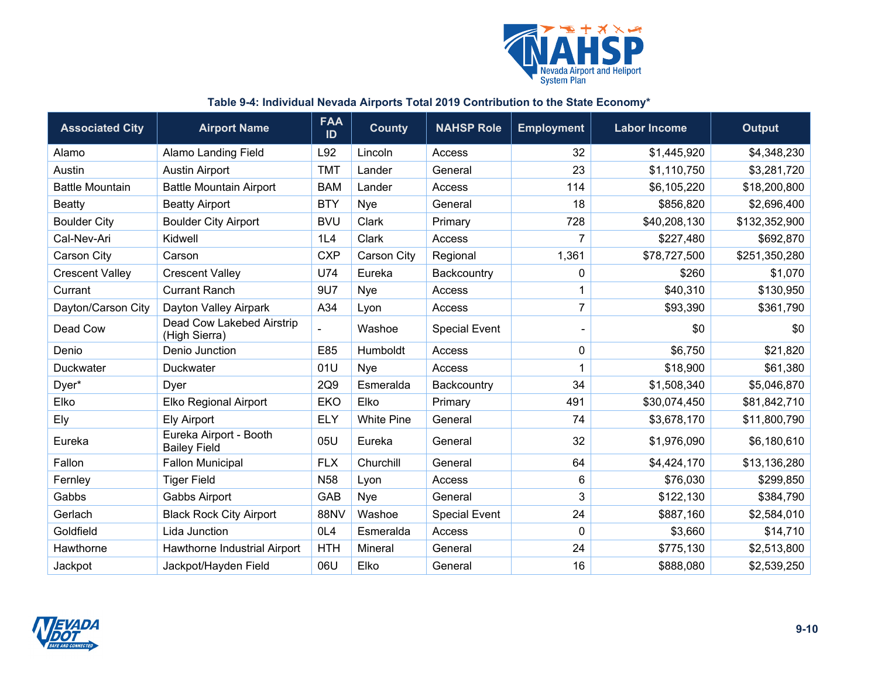

#### **Table 9-4: Individual Nevada Airports Total 2019 Contribution to the State Economy\***

<span id="page-9-0"></span>

| <b>Associated City</b> | <b>Airport Name</b>                           | <b>FAA</b><br>ID | <b>County</b>     | <b>NAHSP Role</b>    | <b>Employment</b> | <b>Labor Income</b> | <b>Output</b> |
|------------------------|-----------------------------------------------|------------------|-------------------|----------------------|-------------------|---------------------|---------------|
| Alamo                  | <b>Alamo Landing Field</b>                    | L92              | Lincoln           | Access               | 32                | \$1,445,920         | \$4,348,230   |
| Austin                 | <b>Austin Airport</b>                         | <b>TMT</b>       | Lander            | General              | 23                | \$1,110,750         | \$3,281,720   |
| <b>Battle Mountain</b> | <b>Battle Mountain Airport</b>                | <b>BAM</b>       | Lander            | Access               | 114               | \$6,105,220         | \$18,200,800  |
| <b>Beatty</b>          | <b>Beatty Airport</b>                         | <b>BTY</b>       | Nye               | General              | 18                | \$856,820           | \$2,696,400   |
| <b>Boulder City</b>    | <b>Boulder City Airport</b>                   | <b>BVU</b>       | Clark             | Primary              | 728               | \$40,208,130        | \$132,352,900 |
| Cal-Nev-Ari            | Kidwell                                       | 1L4              | Clark             | Access               | $\overline{7}$    | \$227,480           | \$692,870     |
| Carson City            | Carson                                        | <b>CXP</b>       | Carson City       | Regional             | 1,361             | \$78,727,500        | \$251,350,280 |
| <b>Crescent Valley</b> | <b>Crescent Valley</b>                        | U74              | Eureka            | Backcountry          | 0                 | \$260               | \$1,070       |
| Currant                | <b>Currant Ranch</b>                          | 9U7              | Nye               | Access               | 1                 | \$40,310            | \$130,950     |
| Dayton/Carson City     | Dayton Valley Airpark                         | A34              | Lyon              | Access               | $\overline{7}$    | \$93,390            | \$361,790     |
| Dead Cow               | Dead Cow Lakebed Airstrip<br>(High Sierra)    |                  | Washoe            | <b>Special Event</b> |                   | \$0                 | \$0           |
| Denio                  | Denio Junction                                | E85              | Humboldt          | Access               | 0                 | \$6,750             | \$21,820      |
| <b>Duckwater</b>       | Duckwater                                     | 01U              | Nye               | Access               |                   | \$18,900            | \$61,380      |
| Dyer*                  | Dyer                                          | 2Q9              | Esmeralda         | Backcountry          | 34                | \$1,508,340         | \$5,046,870   |
| Elko                   | <b>Elko Regional Airport</b>                  | <b>EKO</b>       | Elko              | Primary              | 491               | \$30,074,450        | \$81,842,710  |
| Ely                    | <b>Ely Airport</b>                            | <b>ELY</b>       | <b>White Pine</b> | General              | 74                | \$3,678,170         | \$11,800,790  |
| Eureka                 | Eureka Airport - Booth<br><b>Bailey Field</b> | 05U              | Eureka            | General              | 32                | \$1,976,090         | \$6,180,610   |
| Fallon                 | <b>Fallon Municipal</b>                       | <b>FLX</b>       | Churchill         | General              | 64                | \$4,424,170         | \$13,136,280  |
| Fernley                | <b>Tiger Field</b>                            | <b>N58</b>       | Lyon              | Access               | 6                 | \$76,030            | \$299,850     |
| Gabbs                  | Gabbs Airport                                 | GAB              | Nye               | General              | 3                 | \$122,130           | \$384,790     |
| Gerlach                | <b>Black Rock City Airport</b>                | <b>88NV</b>      | Washoe            | <b>Special Event</b> | 24                | \$887,160           | \$2,584,010   |
| Goldfield              | Lida Junction                                 | OL4              | Esmeralda         | Access               | 0                 | \$3,660             | \$14,710      |
| Hawthorne              | Hawthorne Industrial Airport                  | <b>HTH</b>       | Mineral           | General              | 24                | \$775,130           | \$2,513,800   |
| Jackpot                | Jackpot/Hayden Field                          | 06U              | Elko              | General              | 16                | \$888,080           | \$2,539,250   |

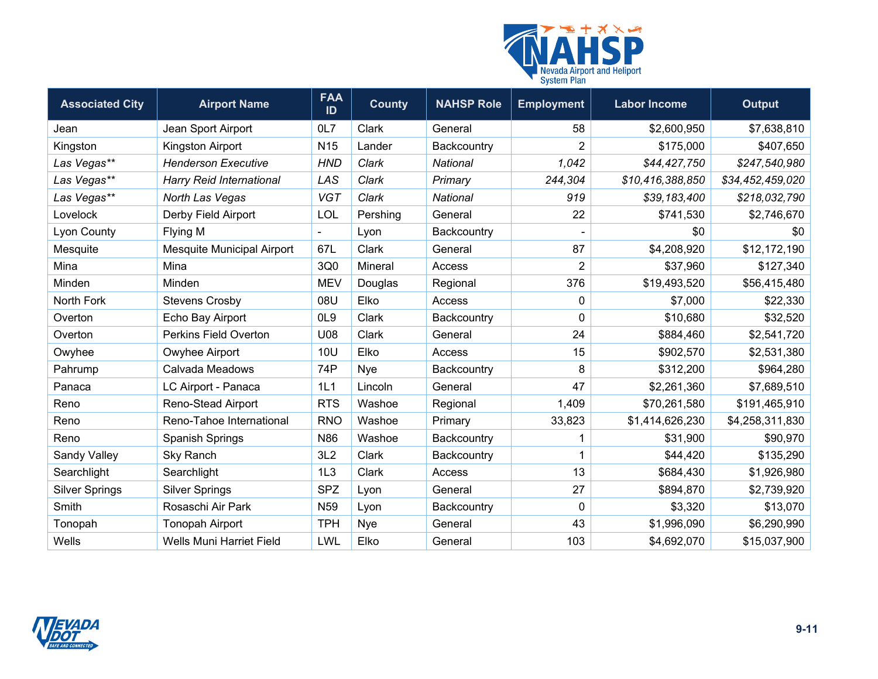

| <b>Associated City</b> | <b>Airport Name</b>             | <b>FAA</b><br>ID | <b>County</b> | <b>NAHSP Role</b> | <b>Employment</b> | <b>Labor Income</b> | <b>Output</b>    |
|------------------------|---------------------------------|------------------|---------------|-------------------|-------------------|---------------------|------------------|
| Jean                   | Jean Sport Airport              | 0L7              | Clark         | General           | 58                | \$2,600,950         | \$7,638,810      |
| Kingston               | Kingston Airport                | N <sub>15</sub>  | Lander        | Backcountry       | $\overline{2}$    | \$175,000           | \$407,650        |
| Las Vegas**            | <b>Henderson Executive</b>      | <b>HND</b>       | Clark         | <b>National</b>   | 1,042             | \$44,427,750        | \$247,540,980    |
| Las Vegas**            | <b>Harry Reid International</b> | LAS              | Clark         | Primary           | 244,304           | \$10,416,388,850    | \$34,452,459,020 |
| Las Vegas**            | North Las Vegas                 | <b>VGT</b>       | Clark         | National          | 919               | \$39,183,400        | \$218,032,790    |
| Lovelock               | Derby Field Airport             | LOL              | Pershing      | General           | 22                | \$741,530           | \$2,746,670      |
| <b>Lyon County</b>     | Flying M                        |                  | Lyon          | Backcountry       |                   | \$0                 | \$0              |
| Mesquite               | Mesquite Municipal Airport      | 67L              | Clark         | General           | 87                | \$4,208,920         | \$12,172,190     |
| Mina                   | Mina                            | 3Q0              | Mineral       | Access            | $\overline{2}$    | \$37,960            | \$127,340        |
| Minden                 | Minden                          | <b>MEV</b>       | Douglas       | Regional          | 376               | \$19,493,520        | \$56,415,480     |
| North Fork             | <b>Stevens Crosby</b>           | 08U              | Elko          | Access            | 0                 | \$7,000             | \$22,330         |
| Overton                | Echo Bay Airport                | OL <sub>9</sub>  | Clark         | Backcountry       | $\mathbf 0$       | \$10,680            | \$32,520         |
| Overton                | <b>Perkins Field Overton</b>    | U08              | Clark         | General           | 24                | \$884,460           | \$2,541,720      |
| Owyhee                 | Owyhee Airport                  | <b>10U</b>       | Elko          | Access            | 15                | \$902,570           | \$2,531,380      |
| Pahrump                | Calvada Meadows                 | 74P              | <b>Nye</b>    | Backcountry       | 8                 | \$312,200           | \$964,280        |
| Panaca                 | LC Airport - Panaca             | 1L1              | Lincoln       | General           | 47                | \$2,261,360         | \$7,689,510      |
| Reno                   | Reno-Stead Airport              | <b>RTS</b>       | Washoe        | Regional          | 1,409             | \$70,261,580        | \$191,465,910    |
| Reno                   | Reno-Tahoe International        | <b>RNO</b>       | Washoe        | Primary           | 33,823            | \$1,414,626,230     | \$4,258,311,830  |
| Reno                   | <b>Spanish Springs</b>          | N86              | Washoe        | Backcountry       | 1                 | \$31,900            | \$90,970         |
| Sandy Valley           | Sky Ranch                       | 3L2              | Clark         | Backcountry       | 1                 | \$44,420            | \$135,290        |
| Searchlight            | Searchlight                     | 1L3              | Clark         | Access            | 13                | \$684,430           | \$1,926,980      |
| <b>Silver Springs</b>  | <b>Silver Springs</b>           | <b>SPZ</b>       | Lyon          | General           | 27                | \$894,870           | \$2,739,920      |
| Smith                  | Rosaschi Air Park               | N <sub>59</sub>  | Lyon          | Backcountry       | $\mathbf 0$       | \$3,320             | \$13,070         |
| Tonopah                | <b>Tonopah Airport</b>          | <b>TPH</b>       | Nye           | General           | 43                | \$1,996,090         | \$6,290,990      |
| Wells                  | <b>Wells Muni Harriet Field</b> | LWL              | Elko          | General           | 103               | \$4,692,070         | \$15,037,900     |

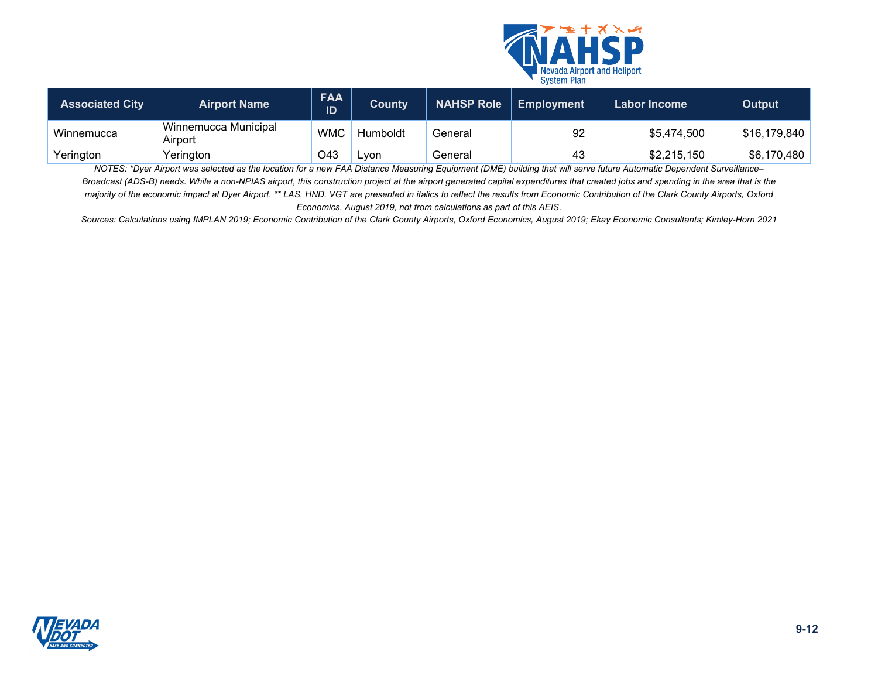

| <b>Associated City</b> | <b>Airport Name</b>             | <b>FAA</b><br>ID | County   | <b>NAHSP Role</b> | <b>Employment</b> | Labor Income | Output       |
|------------------------|---------------------------------|------------------|----------|-------------------|-------------------|--------------|--------------|
| Winnemucca             | Winnemucca Municipal<br>Airport | <b>WMC</b>       | Humboldt | General           | 92                | \$5,474,500  | \$16,179,840 |
| Yerington              | Yerington                       | O43              | _von     | General           | 43                | \$2,215,150  | \$6,170,480  |

*NOTES: \*Dyer Airport was selected as the location for a new FAA Distance Measuring Equipment (DME) building that will serve future Automatic Dependent Surveillance– Broadcast (ADS-B) needs. While a non-NPIAS airport, this construction project at the airport generated capital expenditures that created jobs and spending in the area that is the majority of the economic impact at Dyer Airport. \*\* LAS, HND, VGT are presented in italics to reflect the results from Economic Contribution of the Clark County Airports, Oxford Economics, August 2019, not from calculations as part of this AEIS.* 

*Sources: Calculations using IMPLAN 2019; Economic Contribution of the Clark County Airports, Oxford Economics, August 2019; Ekay Economic Consultants; Kimley-Horn 2021*

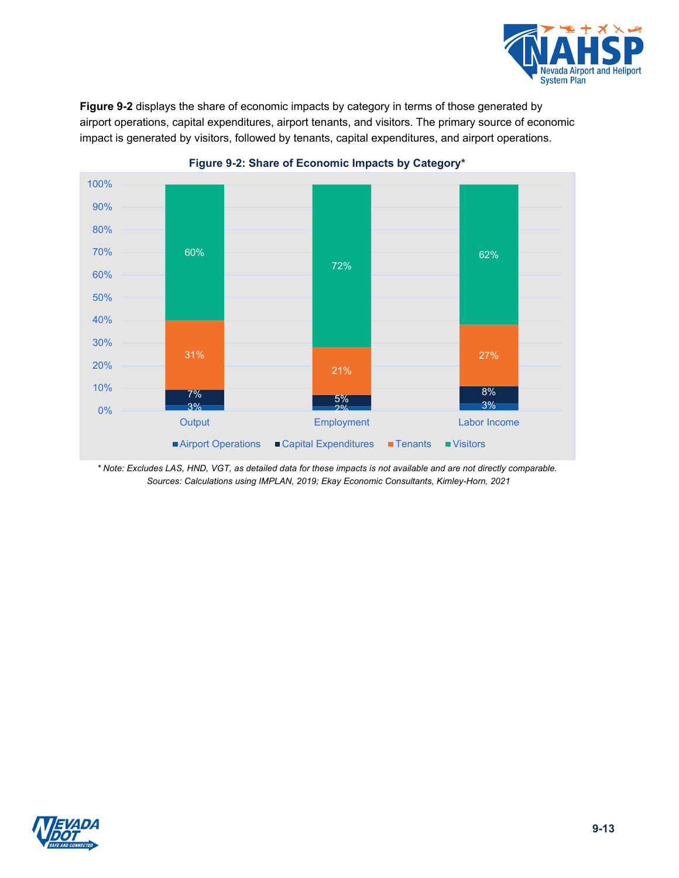

**[Figure 9-2](#page-12-0)** displays the share of economic impacts by category in terms of those generated by airport operations, capital expenditures, airport tenants, and visitors. The primary source of economic impact is generated by visitors, followed by tenants, capital expenditures, and airport operations.

<span id="page-12-0"></span>



*\* Note: Excludes LAS, HND, VGT, as detailed data for these impacts is not available and are not directly comparable. Sources: Calculations using IMPLAN, 2019; Ekay Economic Consultants, Kimley-Horn, 2021*

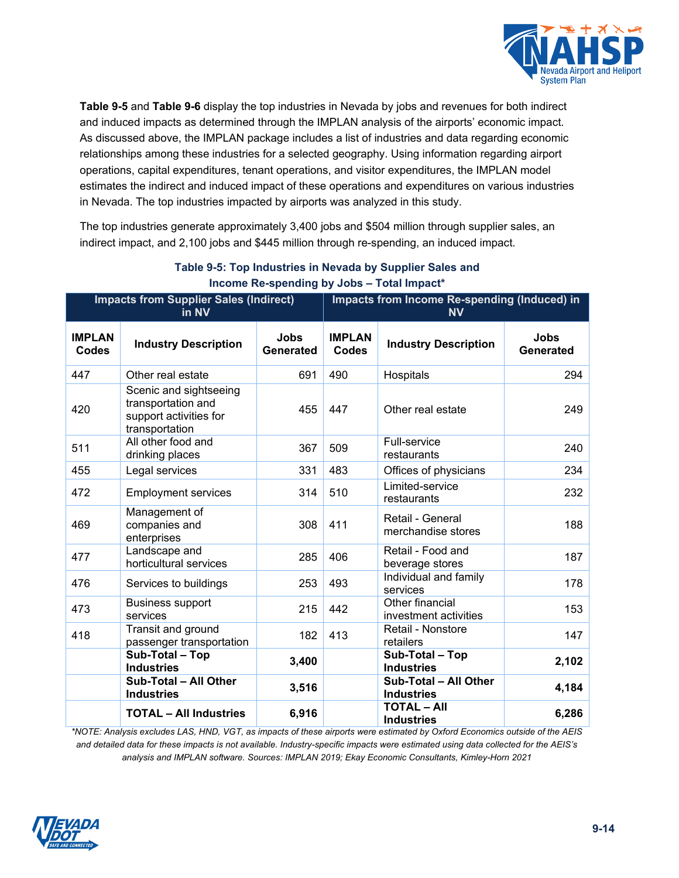

**[Table 9-5](#page-13-0)** and **[Table 9-6](#page-14-0)** display the top industries in Nevada by jobs and revenues for both indirect and induced impacts as determined through the IMPLAN analysis of the airports' economic impact. As discussed above, the IMPLAN package includes a list of industries and data regarding economic relationships among these industries for a selected geography. Using information regarding airport operations, capital expenditures, tenant operations, and visitor expenditures, the IMPLAN model estimates the indirect and induced impact of these operations and expenditures on various industries in Nevada. The top industries impacted by airports was analyzed in this study.

The top industries generate approximately 3,400 jobs and \$504 million through supplier sales, an indirect impact, and 2,100 jobs and \$445 million through re-spending, an induced impact.

<span id="page-13-0"></span>

| <b>Impacts from Supplier Sales (Indirect)</b><br>in NV |                                                                                          |                          |                        | Impacts from Income Re-spending (Induced) in<br><b>NV</b> |                          |
|--------------------------------------------------------|------------------------------------------------------------------------------------------|--------------------------|------------------------|-----------------------------------------------------------|--------------------------|
| <b>IMPLAN</b><br>Codes                                 | <b>Industry Description</b>                                                              | <b>Jobs</b><br>Generated | <b>IMPLAN</b><br>Codes | <b>Industry Description</b>                               | <b>Jobs</b><br>Generated |
| 447                                                    | Other real estate                                                                        | 691                      | 490                    | Hospitals                                                 | 294                      |
| 420                                                    | Scenic and sightseeing<br>transportation and<br>support activities for<br>transportation | 455                      | 447                    | Other real estate                                         | 249                      |
| 511                                                    | All other food and<br>drinking places                                                    | 367                      | 509                    | Full-service<br>restaurants                               | 240                      |
| 455                                                    | Legal services                                                                           | 331                      | 483                    | Offices of physicians                                     | 234                      |
| 472                                                    | <b>Employment services</b>                                                               | 314                      | 510                    | Limited-service<br>restaurants                            | 232                      |
| 469                                                    | Management of<br>companies and<br>enterprises                                            | 308                      | 411                    | Retail - General<br>merchandise stores                    | 188                      |
| 477                                                    | Landscape and<br>horticultural services                                                  | 285                      | 406                    | Retail - Food and<br>beverage stores                      | 187                      |
| 476                                                    | Services to buildings                                                                    | 253                      | 493                    | Individual and family<br>services                         | 178                      |
| 473                                                    | <b>Business support</b><br>services                                                      | 215                      | 442                    | Other financial<br>investment activities                  | 153                      |
| 418                                                    | Transit and ground<br>passenger transportation                                           | 182                      | 413                    | Retail - Nonstore<br>retailers                            | 147                      |
|                                                        | Sub-Total - Top<br><b>Industries</b>                                                     | 3,400                    |                        | Sub-Total - Top<br><b>Industries</b>                      | 2,102                    |
|                                                        | Sub-Total - All Other<br><b>Industries</b>                                               | 3,516                    |                        | Sub-Total - All Other<br><b>Industries</b>                | 4,184                    |
|                                                        | <b>TOTAL - All Industries</b>                                                            | 6,916                    |                        | <b>TOTAL - AII</b><br><b>Industries</b>                   | 6,286                    |

### **Table 9-5: Top Industries in Nevada by Supplier Sales and Income Re-spending by Jobs – Total Impact\***

*\*NOTE: Analysis excludes LAS, HND, VGT, as impacts of these airports were estimated by Oxford Economics outside of the AEIS and detailed data for these impacts is not available. Industry-specific impacts were estimated using data collected for the AEIS's analysis and IMPLAN software. Sources: IMPLAN 2019; Ekay Economic Consultants, Kimley-Horn 2021*

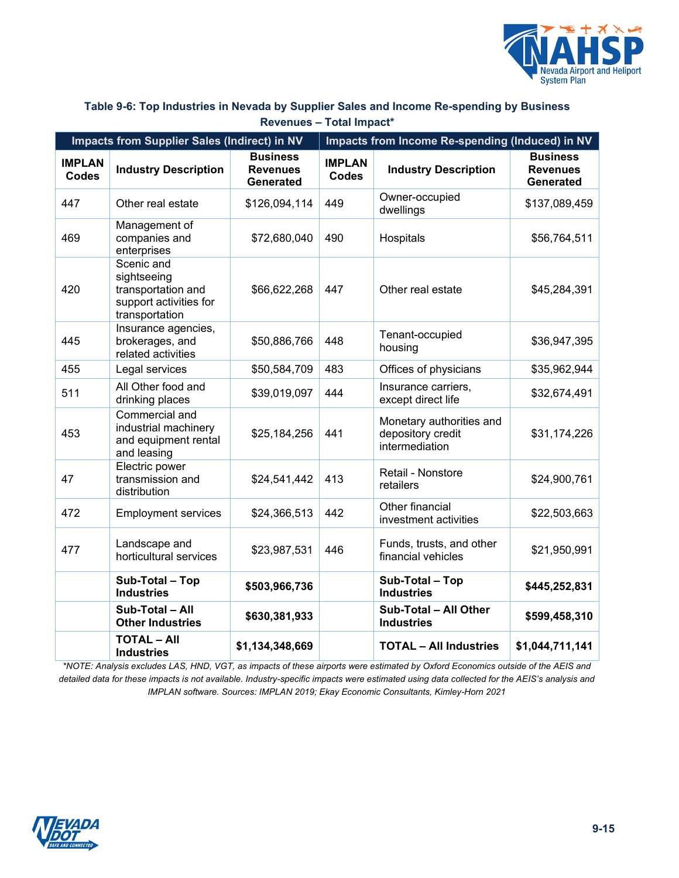

#### <span id="page-14-0"></span>**Table 9-6: Top Industries in Nevada by Supplier Sales and Income Re-spending by Business Revenues – Total Impact\***

| Impacts from Supplier Sales (Indirect) in NV |                                                                                             |                                                        | Impacts from Income Re-spending (Induced) in NV |                                                                 |                                                 |  |
|----------------------------------------------|---------------------------------------------------------------------------------------------|--------------------------------------------------------|-------------------------------------------------|-----------------------------------------------------------------|-------------------------------------------------|--|
| <b>IMPLAN</b><br><b>Codes</b>                | <b>Industry Description</b>                                                                 | <b>Business</b><br><b>Revenues</b><br><b>Generated</b> | <b>IMPLAN</b><br><b>Codes</b>                   | <b>Industry Description</b>                                     | <b>Business</b><br><b>Revenues</b><br>Generated |  |
| 447                                          | Other real estate                                                                           | \$126,094,114                                          | 449                                             | Owner-occupied<br>dwellings                                     | \$137,089,459                                   |  |
| 469                                          | Management of<br>companies and<br>enterprises                                               | \$72,680,040                                           | 490                                             | Hospitals                                                       | \$56,764,511                                    |  |
| 420                                          | Scenic and<br>sightseeing<br>transportation and<br>support activities for<br>transportation | \$66,622,268                                           | 447                                             | Other real estate                                               | \$45,284,391                                    |  |
| 445                                          | Insurance agencies,<br>brokerages, and<br>related activities                                | \$50,886,766                                           | 448                                             | Tenant-occupied<br>housing                                      | \$36,947,395                                    |  |
| 455                                          | Legal services                                                                              | \$50,584,709                                           | 483                                             | Offices of physicians                                           | \$35,962,944                                    |  |
| 511                                          | All Other food and<br>drinking places                                                       | \$39,019,097                                           | 444                                             | Insurance carriers,<br>except direct life                       | \$32,674,491                                    |  |
| 453                                          | Commercial and<br>industrial machinery<br>and equipment rental<br>and leasing               | \$25,184,256                                           | 441                                             | Monetary authorities and<br>depository credit<br>intermediation | \$31,174,226                                    |  |
| 47                                           | Electric power<br>transmission and<br>distribution                                          | \$24,541,442                                           | 413                                             | Retail - Nonstore<br>retailers                                  | \$24,900,761                                    |  |
| 472                                          | <b>Employment services</b>                                                                  | \$24,366,513                                           | 442                                             | Other financial<br>investment activities                        | \$22,503,663                                    |  |
| 477                                          | Landscape and<br>horticultural services                                                     | \$23,987,531                                           | 446                                             | Funds, trusts, and other<br>financial vehicles                  | \$21,950,991                                    |  |
|                                              | Sub-Total - Top<br><b>Industries</b>                                                        | \$503,966,736                                          |                                                 | Sub-Total - Top<br><b>Industries</b>                            | \$445,252,831                                   |  |
|                                              | Sub-Total - All<br><b>Other Industries</b>                                                  | \$630,381,933                                          |                                                 | Sub-Total - All Other<br><b>Industries</b>                      | \$599,458,310                                   |  |
|                                              | <b>TOTAL - All</b><br><b>Industries</b>                                                     | \$1,134,348,669                                        |                                                 | <b>TOTAL - All Industries</b>                                   | \$1,044,711,141                                 |  |

*\*NOTE: Analysis excludes LAS, HND, VGT, as impacts of these airports were estimated by Oxford Economics outside of the AEIS and detailed data for these impacts is not available. Industry-specific impacts were estimated using data collected for the AEIS's analysis and IMPLAN software. Sources: IMPLAN 2019; Ekay Economic Consultants, Kimley-Horn 2021*

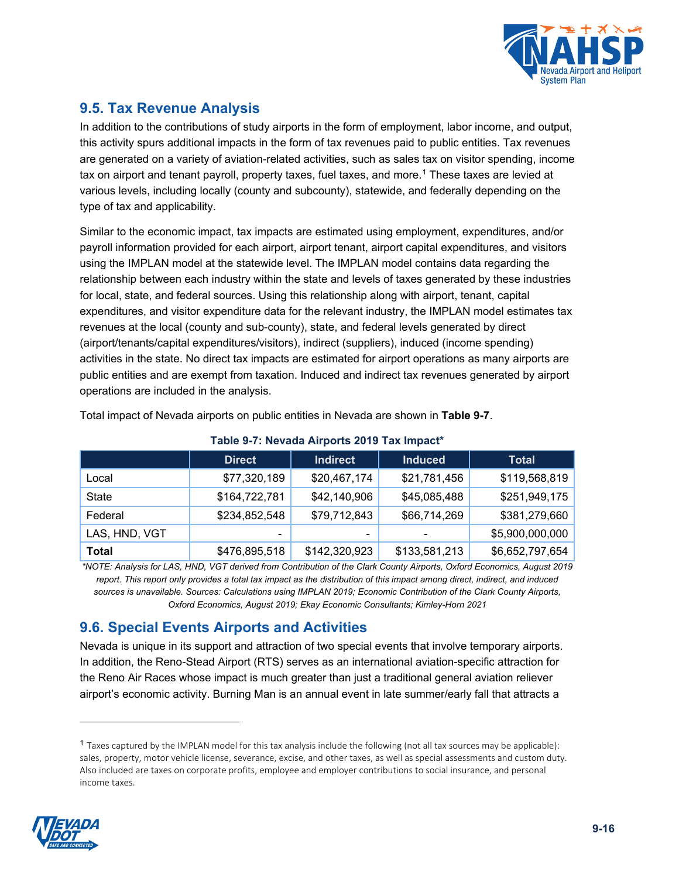

# **9.5. Tax Revenue Analysis**

In addition to the contributions of study airports in the form of employment, labor income, and output, this activity spurs additional impacts in the form of tax revenues paid to public entities. Tax revenues are generated on a variety of aviation-related activities, such as sales tax on visitor spending, income tax on airport and tenant payroll, property taxes, fuel taxes, and more.<sup>[1](#page-15-1)</sup> These taxes are levied at various levels, including locally (county and subcounty), statewide, and federally depending on the type of tax and applicability.

Similar to the economic impact, tax impacts are estimated using employment, expenditures, and/or payroll information provided for each airport, airport tenant, airport capital expenditures, and visitors using the IMPLAN model at the statewide level. The IMPLAN model contains data regarding the relationship between each industry within the state and levels of taxes generated by these industries for local, state, and federal sources. Using this relationship along with airport, tenant, capital expenditures, and visitor expenditure data for the relevant industry, the IMPLAN model estimates tax revenues at the local (county and sub-county), state, and federal levels generated by direct (airport/tenants/capital expenditures/visitors), indirect (suppliers), induced (income spending) activities in the state. No direct tax impacts are estimated for airport operations as many airports are public entities and are exempt from taxation. Induced and indirect tax revenues generated by airport operations are included in the analysis.

<span id="page-15-0"></span>

|               | <b>Direct</b> | <b>Indirect</b> | <b>Induced</b> | <b>Total</b>    |  |  |  |
|---------------|---------------|-----------------|----------------|-----------------|--|--|--|
| Local         | \$77,320,189  | \$20,467,174    | \$21,781,456   | \$119,568,819   |  |  |  |
| <b>State</b>  | \$164,722,781 | \$42,140,906    | \$45,085,488   | \$251,949,175   |  |  |  |
| Federal       | \$234,852,548 | \$79,712,843    | \$66,714,269   | \$381,279,660   |  |  |  |
| LAS, HND, VGT |               | -               |                | \$5,900,000,000 |  |  |  |
| Total         | \$476,895,518 | \$142,320,923   | \$133,581,213  | \$6,652,797,654 |  |  |  |

**Table 9-7: Nevada Airports 2019 Tax Impact\***

Total impact of Nevada airports on public entities in Nevada are shown in **[Table 9-7](#page-15-0)**.

*\*NOTE: Analysis for LAS, HND, VGT derived from Contribution of the Clark County Airports, Oxford Economics, August 2019 report. This report only provides a total tax impact as the distribution of this impact among direct, indirect, and induced sources is unavailable. Sources: Calculations using IMPLAN 2019; Economic Contribution of the Clark County Airports, Oxford Economics, August 2019; Ekay Economic Consultants; Kimley-Horn 2021*

# **9.6. Special Events Airports and Activities**

Nevada is unique in its support and attraction of two special events that involve temporary airports. In addition, the Reno-Stead Airport (RTS) serves as an international aviation-specific attraction for the Reno Air Races whose impact is much greater than just a traditional general aviation reliever airport's economic activity. Burning Man is an annual event in late summer/early fall that attracts a

<span id="page-15-1"></span> $<sup>1</sup>$  Taxes captured by the IMPLAN model for this tax analysis include the following (not all tax sources may be applicable):</sup> sales, property, motor vehicle license, severance, excise, and other taxes, as well as special assessments and custom duty. Also included are taxes on corporate profits, employee and employer contributions to social insurance, and personal income taxes.

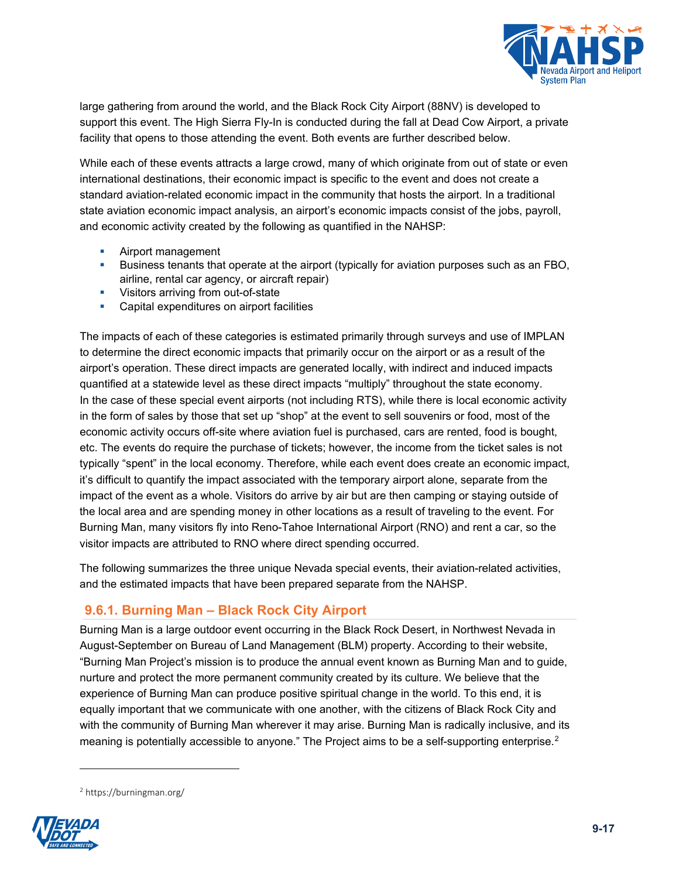

large gathering from around the world, and the Black Rock City Airport (88NV) is developed to support this event. The High Sierra Fly-In is conducted during the fall at Dead Cow Airport, a private facility that opens to those attending the event. Both events are further described below.

While each of these events attracts a large crowd, many of which originate from out of state or even international destinations, their economic impact is specific to the event and does not create a standard aviation-related economic impact in the community that hosts the airport. In a traditional state aviation economic impact analysis, an airport's economic impacts consist of the jobs, payroll, and economic activity created by the following as quantified in the NAHSP:

- Airport management
- **Business tenants that operate at the airport (typically for aviation purposes such as an FBO,** airline, rental car agency, or aircraft repair)
- Visitors arriving from out-of-state
- **Capital expenditures on airport facilities**

The impacts of each of these categories is estimated primarily through surveys and use of IMPLAN to determine the direct economic impacts that primarily occur on the airport or as a result of the airport's operation. These direct impacts are generated locally, with indirect and induced impacts quantified at a statewide level as these direct impacts "multiply" throughout the state economy. In the case of these special event airports (not including RTS), while there is local economic activity in the form of sales by those that set up "shop" at the event to sell souvenirs or food, most of the economic activity occurs off-site where aviation fuel is purchased, cars are rented, food is bought, etc. The events do require the purchase of tickets; however, the income from the ticket sales is not typically "spent" in the local economy. Therefore, while each event does create an economic impact, it's difficult to quantify the impact associated with the temporary airport alone, separate from the impact of the event as a whole. Visitors do arrive by air but are then camping or staying outside of the local area and are spending money in other locations as a result of traveling to the event. For Burning Man, many visitors fly into Reno-Tahoe International Airport (RNO) and rent a car, so the visitor impacts are attributed to RNO where direct spending occurred.

The following summarizes the three unique Nevada special events, their aviation-related activities, and the estimated impacts that have been prepared separate from the NAHSP.

# **9.6.1. Burning Man – Black Rock City Airport**

Burning Man is a large outdoor event occurring in the Black Rock Desert, in Northwest Nevada in August-September on Bureau of Land Management (BLM) property. According to their website, "Burning Man Project's mission is to produce the annual event known as Burning Man and to guide, nurture and protect the more permanent community created by its culture. We believe that the experience of Burning Man can produce positive spiritual change in the world. To this end, it is equally important that we communicate with one another, with the citizens of Black Rock City and with the community of Burning Man wherever it may arise. Burning Man is radically inclusive, and its meaning is potentially accessible to anyone." The Project aims to be a self-supporting enterprise. $2$ 

<span id="page-16-0"></span><sup>2</sup> https://burningman.org/

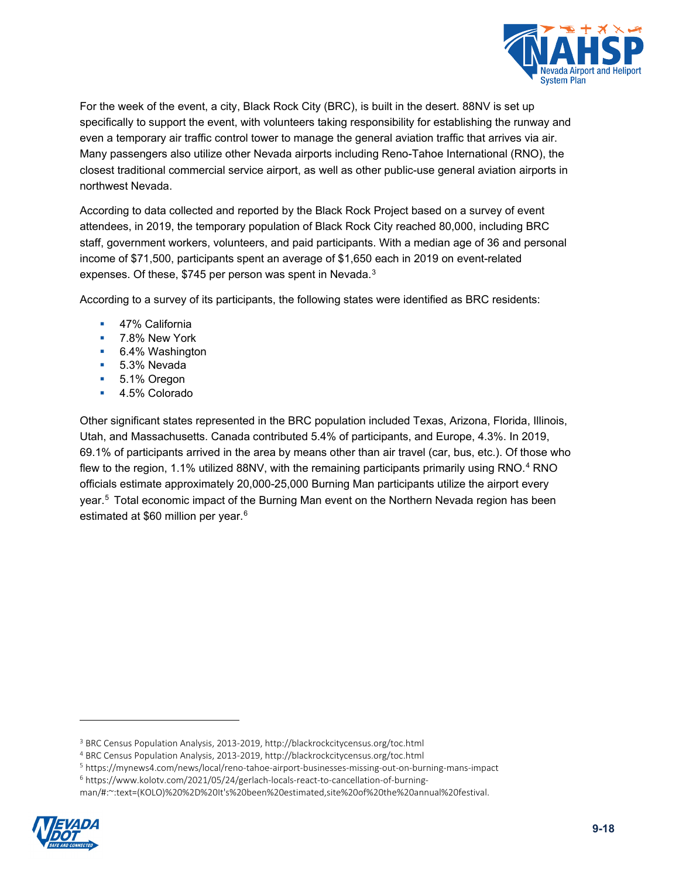

For the week of the event, a city, Black Rock City (BRC), is built in the desert. 88NV is set up specifically to support the event, with volunteers taking responsibility for establishing the runway and even a temporary air traffic control tower to manage the general aviation traffic that arrives via air. Many passengers also utilize other Nevada airports including Reno-Tahoe International (RNO), the closest traditional commercial service airport, as well as other public-use general aviation airports in northwest Nevada.

According to data collected and reported by the Black Rock Project based on a survey of event attendees, in 2019, the temporary population of Black Rock City reached 80,000, including BRC staff, government workers, volunteers, and paid participants. With a median age of 36 and personal income of \$71,500, participants spent an average of \$1,650 each in 2019 on event-related expenses. Of these, \$745 per person was spent in Nevada.<sup>[3](#page-17-0)</sup>

According to a survey of its participants, the following states were identified as BRC residents:

- 47% California
- **7.8% New York**
- 6.4% Washington
- 5.3% Nevada
- 5.1% Oregon
- 4.5% Colorado

Other significant states represented in the BRC population included Texas, Arizona, Florida, Illinois, Utah, and Massachusetts. Canada contributed 5.4% of participants, and Europe, 4.3%. In 2019, 69.1% of participants arrived in the area by means other than air travel (car, bus, etc.). Of those who flew to the region, 1.1% utilized 88NV, with the remaining participants primarily using RNO.<sup>[4](#page-17-1)</sup> RNO officials estimate approximately 20,000-25,000 Burning Man participants utilize the airport every year.<sup>[5](#page-17-2)</sup> Total economic impact of the Burning Man event on the Northern Nevada region has been estimated at \$[6](#page-17-3)0 million per year.<sup>6</sup>

<span id="page-17-3"></span><span id="page-17-2"></span><span id="page-17-1"></span><span id="page-17-0"></span>man/#:~:text=(KOLO)%20%2D%20It's%20been%20estimated,site%20of%20the%20annual%20festival.



<sup>3</sup> BRC Census Population Analysis, 2013-2019, http://blackrockcitycensus.org/toc.html

<sup>4</sup> BRC Census Population Analysis, 2013-2019, http://blackrockcitycensus.org/toc.html

<sup>5</sup> https://mynews4.com/news/local/reno-tahoe-airport-businesses-missing-out-on-burning-mans-impact

<sup>6</sup> https://www.kolotv.com/2021/05/24/gerlach-locals-react-to-cancellation-of-burning-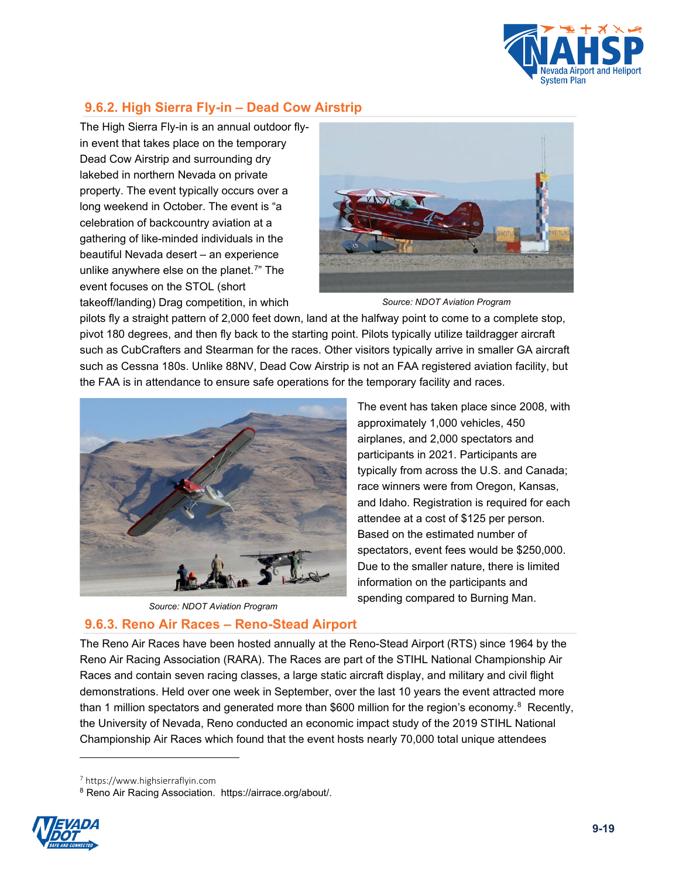

# **9.6.2. High Sierra Fly-in – Dead Cow Airstrip**

The High Sierra Fly-in is an annual outdoor flyin event that takes place on the temporary Dead Cow Airstrip and surrounding dry lakebed in northern Nevada on private property. The event typically occurs over a long weekend in October. The event is "a celebration of backcountry aviation at a gathering of like-minded individuals in the beautiful Nevada desert – an experience unlike anywhere else on the planet.<sup>7</sup>" The event focuses on the STOL (short takeoff/landing) Drag competition, in which



*Source: NDOT Aviation Program*

pilots fly a straight pattern of 2,000 feet down, land at the halfway point to come to a complete stop, pivot 180 degrees, and then fly back to the starting point. Pilots typically utilize taildragger aircraft such as CubCrafters and Stearman for the races. Other visitors typically arrive in smaller GA aircraft such as Cessna 180s. Unlike 88NV, Dead Cow Airstrip is not an FAA registered aviation facility, but the FAA is in attendance to ensure safe operations for the temporary facility and races.





### **9.6.3. Reno Air Races – Reno-Stead Airport**

The event has taken place since 2008, with approximately 1,000 vehicles, 450 airplanes, and 2,000 spectators and participants in 2021. Participants are typically from across the U.S. and Canada; race winners were from Oregon, Kansas, and Idaho. Registration is required for each attendee at a cost of \$125 per person. Based on the estimated number of spectators, event fees would be \$250,000. Due to the smaller nature, there is limited information on the participants and spending compared to Burning Man.

The Reno Air Races have been hosted annually at the Reno-Stead Airport (RTS) since 1964 by the Reno Air Racing Association (RARA). The Races are part of the STIHL National Championship Air Races and contain seven racing classes, a large static aircraft display, and military and civil flight demonstrations. Held over one week in September, over the last 10 years the event attracted more than 1 million spectators and generated more than \$600 million for the region's economy.<sup>[8](#page-18-1)</sup> Recently, the University of Nevada, Reno conducted an economic impact study of the 2019 STIHL National Championship Air Races which found that the event hosts nearly 70,000 total unique attendees

<span id="page-18-1"></span><span id="page-18-0"></span><sup>8</sup> Reno Air Racing Association. https://airrace.org/about/.



<sup>7</sup> https://www.highsierraflyin.com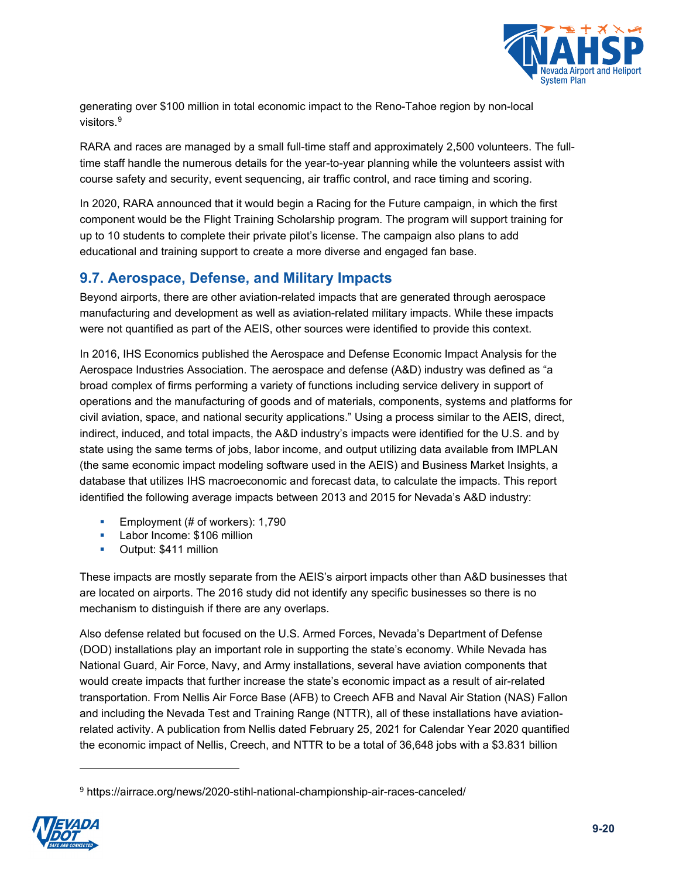

generating over \$100 million in total economic impact to the Reno-Tahoe region by non-local visitors.<sup>[9](#page-19-0)</sup>

RARA and races are managed by a small full-time staff and approximately 2,500 volunteers. The fulltime staff handle the numerous details for the year-to-year planning while the volunteers assist with course safety and security, event sequencing, air traffic control, and race timing and scoring.

In 2020, RARA announced that it would begin a Racing for the Future campaign, in which the first component would be the Flight Training Scholarship program. The program will support training for up to 10 students to complete their private pilot's license. The campaign also plans to add educational and training support to create a more diverse and engaged fan base.

# **9.7. Aerospace, Defense, and Military Impacts**

Beyond airports, there are other aviation-related impacts that are generated through aerospace manufacturing and development as well as aviation-related military impacts. While these impacts were not quantified as part of the AEIS, other sources were identified to provide this context.

In 2016, IHS Economics published the Aerospace and Defense Economic Impact Analysis for the Aerospace Industries Association. The aerospace and defense (A&D) industry was defined as "a broad complex of firms performing a variety of functions including service delivery in support of operations and the manufacturing of goods and of materials, components, systems and platforms for civil aviation, space, and national security applications." Using a process similar to the AEIS, direct, indirect, induced, and total impacts, the A&D industry's impacts were identified for the U.S. and by state using the same terms of jobs, labor income, and output utilizing data available from IMPLAN (the same economic impact modeling software used in the AEIS) and Business Market Insights, a database that utilizes IHS macroeconomic and forecast data, to calculate the impacts. This report identified the following average impacts between 2013 and 2015 for Nevada's A&D industry:

- Employment (# of workers): 1,790
- **Labor Income: \$106 million**
- **•** Output: \$411 million

These impacts are mostly separate from the AEIS's airport impacts other than A&D businesses that are located on airports. The 2016 study did not identify any specific businesses so there is no mechanism to distinguish if there are any overlaps.

Also defense related but focused on the U.S. Armed Forces, Nevada's Department of Defense (DOD) installations play an important role in supporting the state's economy. While Nevada has National Guard, Air Force, Navy, and Army installations, several have aviation components that would create impacts that further increase the state's economic impact as a result of air-related transportation. From Nellis Air Force Base (AFB) to Creech AFB and Naval Air Station (NAS) Fallon and including the Nevada Test and Training Range (NTTR), all of these installations have aviationrelated activity. A publication from Nellis dated February 25, 2021 for Calendar Year 2020 quantified the economic impact of Nellis, Creech, and NTTR to be a total of 36,648 jobs with a \$3.831 billion

<span id="page-19-0"></span><sup>9</sup> https://airrace.org/news/2020-stihl-national-championship-air-races-canceled/